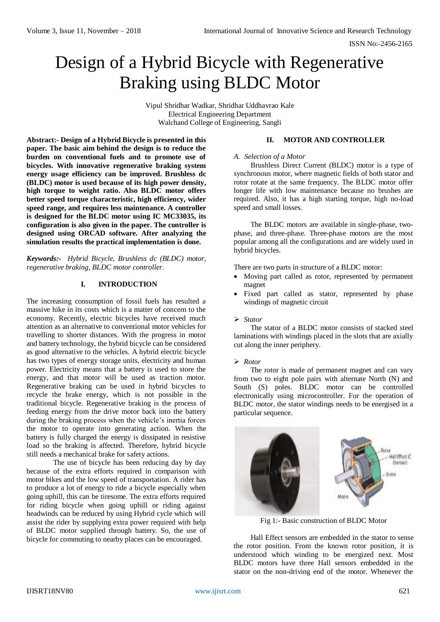ISSN No:-2456-2165

# Design of a Hybrid Bicycle with Regenerative Braking using BLDC Motor

Vipul Shridhar Wadkar, Shridhar Uddhavrao Kale Electrical Engineering Department Walchand College of Engineering, Sangli

**Abstract:- Design of a Hybrid Bicycle is presented in this paper. The basic aim behind the design is to reduce the burden on conventional fuels and to promote use of bicycles. With innovative regenerative braking system energy usage efficiency can be improved. Brushless dc (BLDC) motor is used because of its high power density, high torque to weight ratio. Also BLDC motor offers better speed torque characteristic, high efficiency, wider speed range, and requires less maintenance. A controller is designed for the BLDC motor using IC MC33035, its configuration is also given in the paper. The controller is designed using ORCAD software. After analyzing the simulation results the practical implementation is done.**

*Keywords:- Hybrid Bicycle, Brushless dc (BLDC) motor, regenerative braking, BLDC motor controller.*

# **I. INTRODUCTION**

The increasing consumption of fossil fuels has resulted a massive hike in its costs which is a matter of concern to the economy. Recently, electric bicycles have received much attention as an alternative to conventional motor vehicles for travelling to shorter distances. With the progress in motor and battery technology, the hybrid bicycle can be considered as good alternative to the vehicles. A hybrid electric bicycle has two types of energy storage units, electricity and human power. Electricity means that a battery is used to store the energy, and that motor will be used as traction motor. Regenerative braking can be used in hybrid bicycles to recycle the brake energy, which is not possible in the traditional bicycle. Regenerative braking is the process of feeding energy from the drive motor back into the battery during the braking process when the vehicle's inertia forces the motor to operate into generating action. When the battery is fully charged the energy is dissipated in resistive load so the braking is affected. Therefore, hybrid bicycle still needs a mechanical brake for safety actions.

The use of bicycle has been reducing day by day because of the extra efforts required in comparison with motor bikes and the low speed of transportation. A rider has to produce a lot of energy to ride a bicycle especially when going uphill, this can be tiresome. The extra efforts required for riding bicycle when going uphill or riding against headwinds can be reduced by using Hybrid cycle which will assist the rider by supplying extra power required with help of BLDC motor supplied through battery. So, the use of bicycle for commuting to nearby places can be encouraged.

# **II. MOTOR AND CONTROLLER**

## *A. Selection of a Motor*

Brushless Direct Current (BLDC) motor is a type of synchronous motor, where magnetic fields of both stator and rotor rotate at the same frequency. The BLDC motor offer longer life with low maintenance because no brushes are required. Also, it has a high starting torque, high no-load speed and small losses.

The BLDC motors are available in single-phase, twophase, and three-phase. Three-phase motors are the most popular among all the configurations and are widely used in hybrid bicycles.

There are two parts in structure of a BLDC motor:

- Moving part called as rotor, represented by permanent magnet
- Fixed part called as stator, represented by phase windings of magnetic circuit

# *Stator*

The stator of a BLDC motor consists of stacked steel laminations with windings placed in the slots that are axially cut along the inner periphery.

# *Rotor*

The rotor is made of permanent magnet and can vary from two to eight pole pairs with alternate North (N) and South (S) poles. BLDC motor can be controlled electronically using microcontroller. For the operation of BLDC motor, the stator windings needs to be energised in a particular sequence.



Fig 1:- Basic construction of BLDC Motor

Hall Effect sensors are embedded in the stator to sense the rotor position. From the known rotor position, it is understood which winding to be energized next. Most BLDC motors have three Hall sensors embedded in the stator on the non-driving end of the motor. Whenever the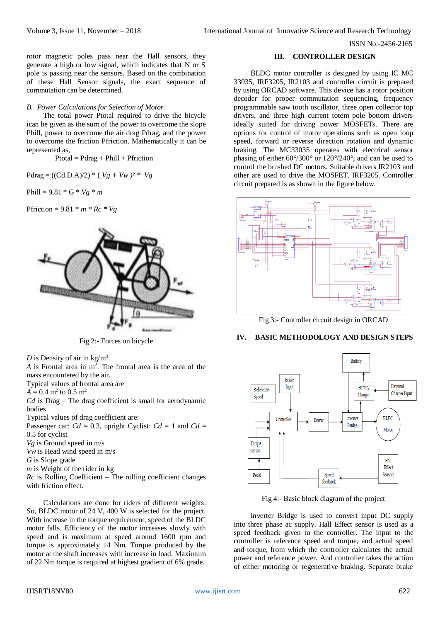ISSN No:-2456-2165

rotor magnetic poles pass near the Hall sensors, they generate a high or low signal, which indicates that N or S pole is passing near the sensors. Based on the combination of these Hall Sensor signals, the exact sequence of commutation can be determined.

## *B. Power Calculations for Selection of Motor*

The total power Ptotal required to drive the bicycle ican be given as the sum of the power to overcome the slope Phill, power to overcome the air drag Pdrag, and the power to overcome the friction Pfriction. Mathematically it can be represented as,

 $Ptotal = Pdrag + Phill + Pfriction$ 

 $Pdrag = ((Cd.D.A)/2) * (Vg + Vw)^2 * Vg$ 

Phill =  $9.81 * G * Vg * m$ 

Pfriction =  $9.81 * m * Rc * Vg$ 



Fig 2:- Forces on bicycle

*D* is Density of air in  $kg/m<sup>3</sup>$ 

A is Frontal area in m<sup>2</sup>. The frontal area is the area of the mass encountered by the air.

Typical values of frontal area are

 $A = 0.4$  m<sup>2</sup> to 0.5 m<sup>2</sup>

*Cd* is Drag – The drag coefficient is small for aerodynamic bodies

Typical values of drag coefficient are:

Passenger car:  $Cd = 0.3$ , upright Cyclist:  $Cd = 1$  and  $Cd =$ 0*.*5 for cyclist

*Vg* is Ground speed in m/s

*Vw* is Head wind speed in m/s

*G* is Slope grade

*m* is Weight of the rider in kg

*Rc* is Rolling Coefficient – The rolling coefficient changes with friction effect.

Calculations are done for riders of different weights. So, BLDC motor of 24 V, 400 W is selected for the project. With increase in the torque requirement, speed of the BLDC motor falls. Efficiency of the motor increases slowly with speed and is maximum at speed around 1600 rpm and torque is approximately 14 Nm. Torque produced by the motor at the shaft increases with increase in load. Maximum of 22 Nm torque is required at highest gradient of 6% grade.

## **III. CONTROLLER DESIGN**

BLDC motor controller is designed by using IC MC 33035, IRF3205, IR2103 and controller circuit is prepared by using ORCAD software. This device has a rotor position decoder for proper commutation sequencing, frequency programmable saw tooth oscillator, three open collector top drivers, and three high current totem pole bottom drivers ideally suited for driving power MOSFETs. There are options for control of motor operations such as open loop speed, forward or reverse direction rotation and dynamic braking. The MC33035 operates with electrical sensor phasing of either 60°/300° or 120°/240°, and can be used to control the brushed DC motors. Suitable drivers IR2103 and other are used to drive the MOSFET, IRF3205. Controller circuit prepared is as shown in the figure below.



Fig 3:- Controller circuit design in ORCAD

# **IV. BASIC METHODOLOGY AND DESIGN STEPS**



Fig 4:- Basic block diagram of the project

Inverter Bridge is used to convert input DC supply into three phase ac supply. Hall Effect sensor is used as a speed feedback given to the controller. The input to the controller is reference speed and torque, and actual speed and torque, from which the controller calculates the actual power and reference power. And controller takes the action of either motoring or regenerative braking. Separate brake